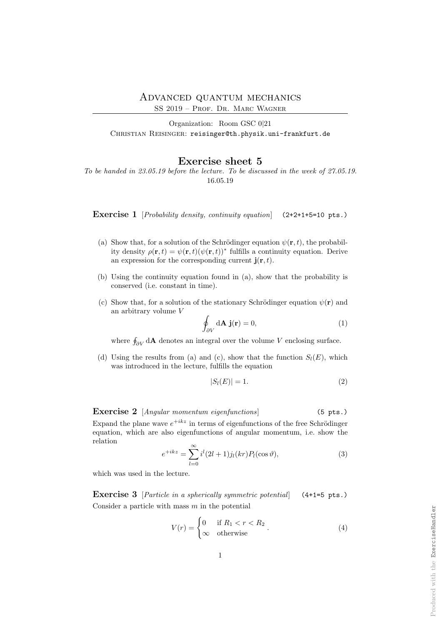SS 2019 – Prof. Dr. Marc Wagner

Organization: Room GSC 0|21 CHRISTIAN REISINGER: reisinger@th.physik.uni-frankfurt.de

## Exercise sheet 5

To be handed in 23.05.19 before the lecture. To be discussed in the week of 27.05.19. 16.05.19

Exercise 1 [Probability density, continuity equation] (2+2+1+5=10 pts.)

- (a) Show that, for a solution of the Schrödinger equation  $\psi(\mathbf{r},t)$ , the probability density  $\rho(\mathbf{r},t) = \psi(\mathbf{r},t)(\psi(\mathbf{r},t))^*$  fulfills a continuity equation. Derive an expression for the corresponding current  $\mathbf{j}(\mathbf{r},t)$ .
- (b) Using the continuity equation found in (a), show that the probability is conserved (i.e. constant in time).
- (c) Show that, for a solution of the stationary Schrödinger equation  $\psi(\mathbf{r})$  and an arbitrary volume V

$$
\oint_{\partial V} d\mathbf{A} \mathbf{j}(\mathbf{r}) = 0,
$$
\n(1)

where  $\oint_{\partial V} d\mathbf{A}$  denotes an integral over the volume V enclosing surface.

(d) Using the results from (a) and (c), show that the function  $S_l(E)$ , which was introduced in the lecture, fulfills the equation

$$
|S_l(E)| = 1.\t\t(2)
$$

Exercise 2 [*Angular momentum eigenfunctions*] (5 pts.) Expand the plane wave  $e^{+ikz}$  in terms of eigenfunctions of the free Schrödinger equation, which are also eigenfunctions of angular momentum, i.e. show the relation

$$
e^{+ikz} = \sum_{l=0}^{\infty} i^l (2l+1) j_l(kr) P_l(\cos \vartheta), \tag{3}
$$

which was used in the lecture.

Exercise 3 [Particle in a spherically symmetric potential] (4+1=5 pts.) Consider a particle with mass  $m$  in the potential

$$
V(r) = \begin{cases} 0 & \text{if } R_1 < r < R_2 \\ \infty & \text{otherwise} \end{cases} . \tag{4}
$$